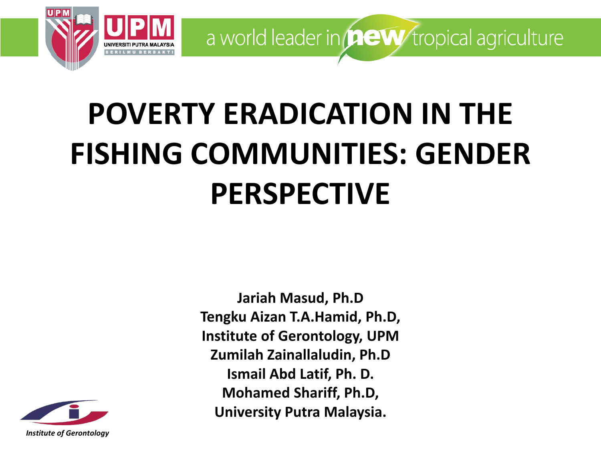

## **POVERTY ERADICATION IN THE FISHING COMMUNITIES: GENDER PERSPECTIVE**

**Tengku Aizan T.A.Hamid, Ph.D, Institute of Gerontology, UPM Zumilah Zainallaludin, Ph.D Ismail Abd Latif, Ph. D. Mohamed Shariff, Ph.D, University Putra Malaysia.**

**Jariah Masud, Ph.D**

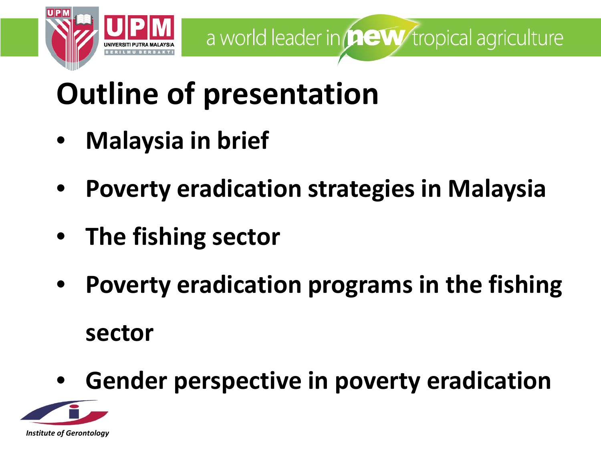

### **Outline of presentation**

- **Malaysia in brief**
- **Poverty eradication strategies in Malaysia**
- **The fishing sector**
- **Poverty eradication programs in the fishing sector**
- **Gender perspective in poverty eradication**

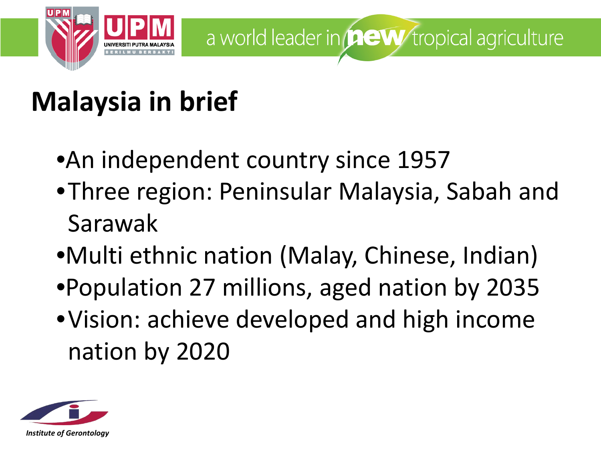

### **Malaysia in brief**

- •An independent country since 1957
- •Three region: Peninsular Malaysia, Sabah and Sarawak
- •Multi ethnic nation (Malay, Chinese, Indian)
- •Population 27 millions, aged nation by 2035
- •Vision: achieve developed and high income nation by 2020

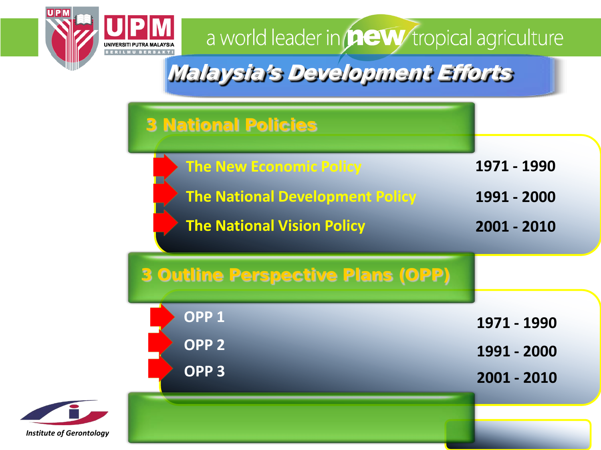

#### Malaysia's Development Efforts

|                                 | <b>3 National Policies</b>                                                                                    |                                           |
|---------------------------------|---------------------------------------------------------------------------------------------------------------|-------------------------------------------|
|                                 | <b>The New Economic Policy</b><br><b>The National Development Policy</b><br><b>The National Vision Policy</b> | 1971 - 1990<br>1991 - 2000<br>2001 - 2010 |
|                                 | <b>3 Outline Perspective Plans (OPP)</b>                                                                      |                                           |
|                                 | OPP <sub>1</sub>                                                                                              | 1971 - 1990                               |
|                                 | OPP <sub>2</sub><br>OPP <sub>3</sub>                                                                          | 1991 - 2000                               |
| <b>Institute of Gerontology</b> |                                                                                                               | 2001 - 2010                               |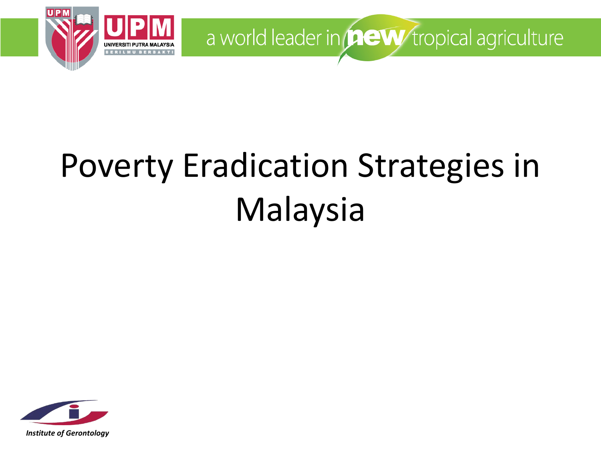

## Poverty Eradication Strategies in Malaysia

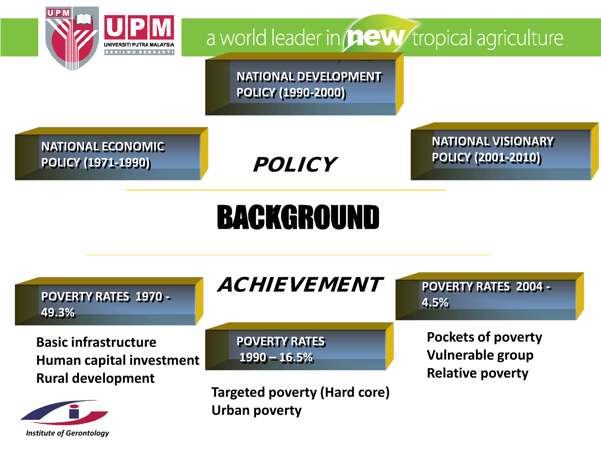

**NATIONAL DEVELOPMENT POLICY (1990-2000)** 

**NATIONAL ECONOMIC POLICY (1971-1990)**

**POLICY** 

**NATIONAL VISIONARY POLICY (2001-2010)**

### BACKGROUND

| <b>POVERTY RATES 1970 -</b><br>49.3%                        | <i>ACHIEVEMENT</i>                                          | <b>POVERTY RATES 2004 -</b><br>4.5%                  |
|-------------------------------------------------------------|-------------------------------------------------------------|------------------------------------------------------|
| <b>Basic infrastructure</b><br>Human capital investment     | <b>POVERTY RATES</b><br>$1990 - 16.5%$                      | <b>Pockets of poverty</b><br><b>Vulnerable group</b> |
| <b>Rural development</b><br><b>Institute of Gerontology</b> | <b>Targeted poverty (Hard core)</b><br><b>Urban poverty</b> | <b>Relative poverty</b>                              |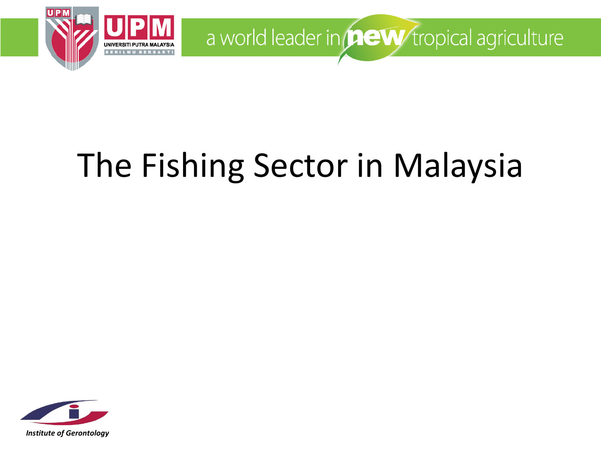

# The Fishing Sector in Malaysia

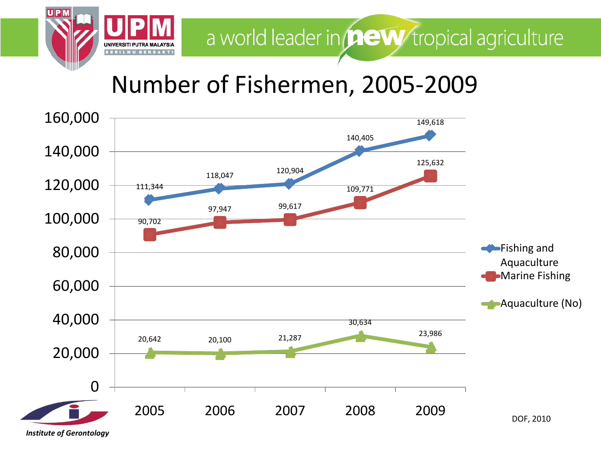

#### Number of Fishermen, 2005-2009

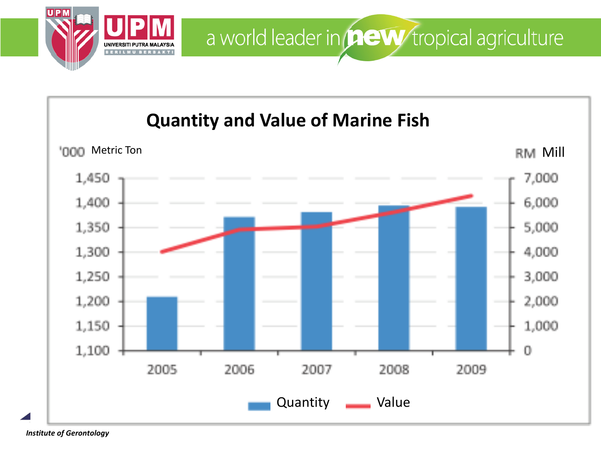

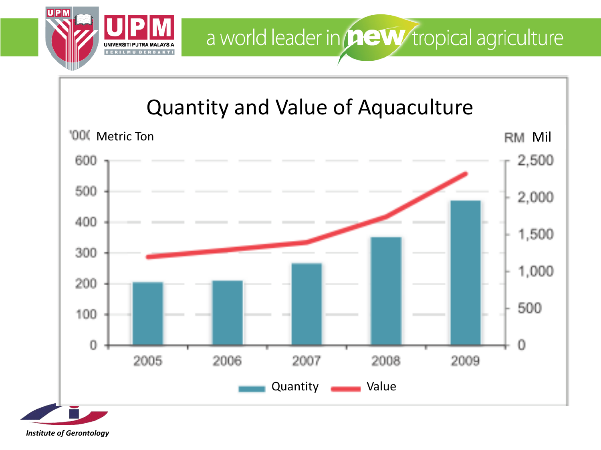

#### Quantity and Value of Aquaculture

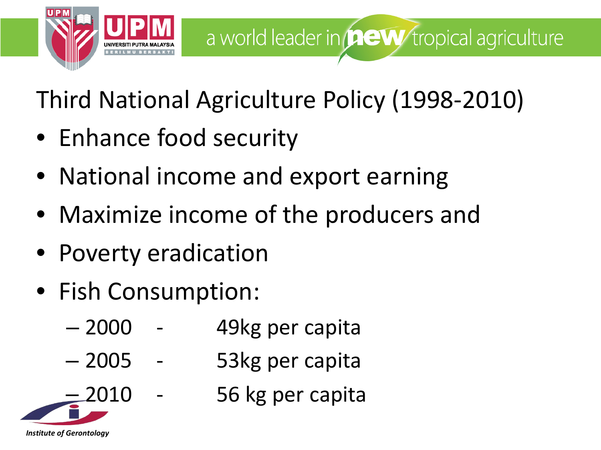

Third National Agriculture Policy (1998-2010)

- Enhance food security
- National income and export earning
- Maximize income of the producers and
- Poverty eradication
- Fish Consumption:

- 2000 49kg per capita
- 2005 53kg per capita
	- 2010 56 kg per capita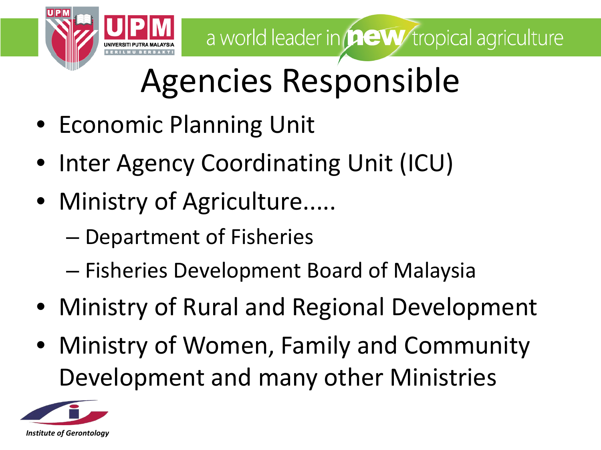

## Agencies Responsible

- Economic Planning Unit
- Inter Agency Coordinating Unit (ICU)
- Ministry of Agriculture.....
	- Department of Fisheries
	- Fisheries Development Board of Malaysia
- Ministry of Rural and Regional Development
- Ministry of Women, Family and Community Development and many other Ministries

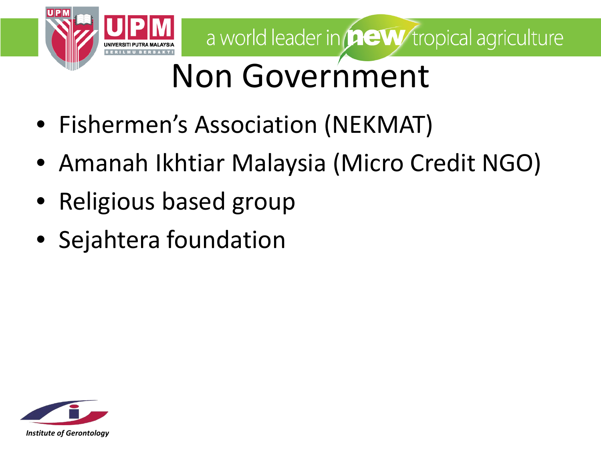

## Non Government

- Fishermen's Association (NEKMAT)
- Amanah Ikhtiar Malaysia (Micro Credit NGO)
- Religious based group
- Sejahtera foundation

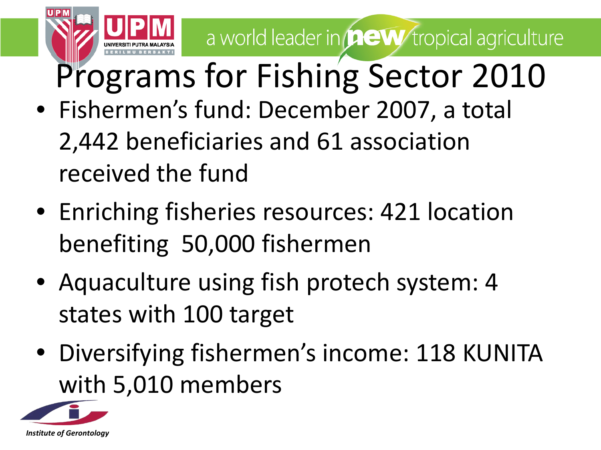- Fishermen's fund: December 2007, a total 2,442 beneficiaries and 61 association received the fund Programs for Fishing Sector 2010
- Enriching fisheries resources: 421 location benefiting 50,000 fishermen
- Aquaculture using fish protech system: 4 states with 100 target
- Diversifying fishermen's income: 118 KUNITA with 5,010 members

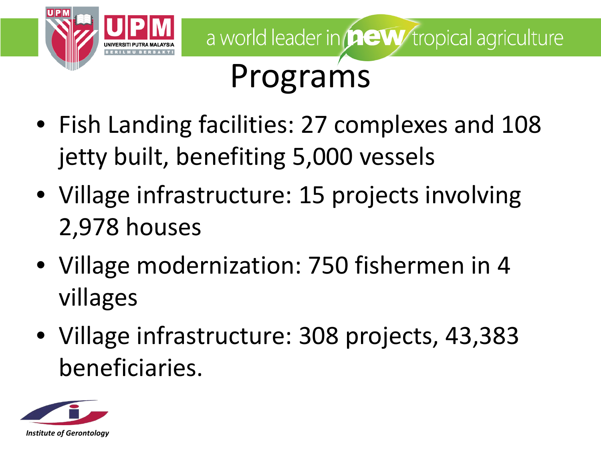

- Fish Landing facilities: 27 complexes and 108 jetty built, benefiting 5,000 vessels
- Village infrastructure: 15 projects involving 2,978 houses
- Village modernization: 750 fishermen in 4 villages
- Village infrastructure: 308 projects, 43,383 beneficiaries.

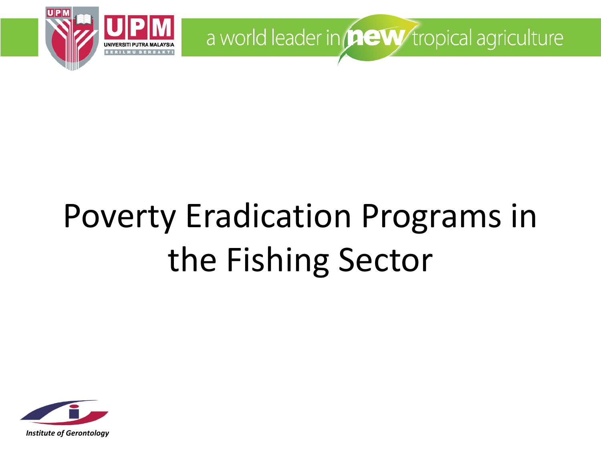

## Poverty Eradication Programs in the Fishing Sector

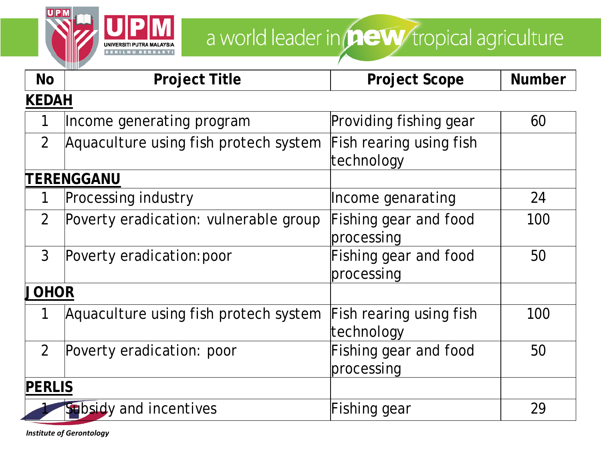

| <b>No</b>      | <b>Project Title</b>                  | <b>Project Scope</b>                  | <b>Number</b> |  |
|----------------|---------------------------------------|---------------------------------------|---------------|--|
| <b>KEDAH</b>   |                                       |                                       |               |  |
| 1              | Income generating program             | Providing fishing gear                | 60            |  |
| 2              | Aquaculture using fish protech system | Fish rearing using fish<br>technology |               |  |
|                | TERENGGANU                            |                                       |               |  |
| 1              | <b>Processing industry</b>            | Income genarating                     | 24            |  |
| 2              | Poverty eradication: vulnerable group | Fishing gear and food<br>processing   | 100           |  |
| 3              | Poverty eradication: poor             | Fishing gear and food<br>processing   | 50            |  |
| <b>JOHOR</b>   |                                       |                                       |               |  |
| 1              | Aquaculture using fish protech system | Fish rearing using fish<br>technology | 100           |  |
| $\overline{2}$ | Poverty eradication: poor             | Fishing gear and food<br>processing   | 50            |  |
| <b>PERLIS</b>  |                                       |                                       |               |  |
|                | Subsidy and incentives                | Fishing gear                          | 29            |  |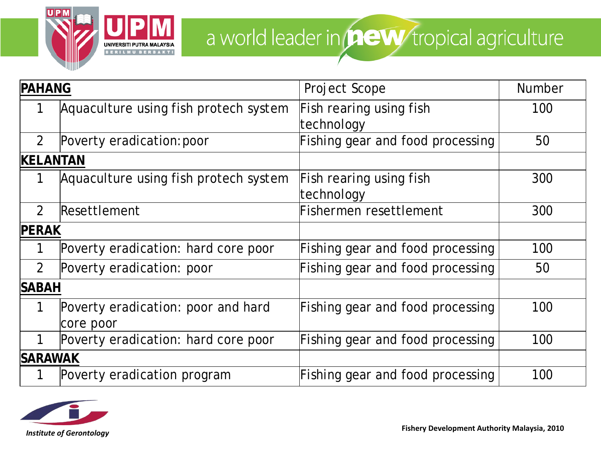

| <b>PAHANG</b>   |                                       | Project Scope                         | <b>Number</b> |
|-----------------|---------------------------------------|---------------------------------------|---------------|
|                 | Aquaculture using fish protech system | Fish rearing using fish               | 100           |
|                 |                                       | technology                            |               |
| $\mathcal{P}$   | Poverty eradication: poor             | Fishing gear and food processing      | 50            |
| <b>KELANTAN</b> |                                       |                                       |               |
|                 | Aquaculture using fish protech system | Fish rearing using fish<br>technology | 300           |
| $\mathcal{P}$   | Resettlement                          | Fishermen resettlement                | 300           |
| <b>PERAK</b>    |                                       |                                       |               |
|                 | Poverty eradication: hard core poor   | Fishing gear and food processing      | 100           |
| $\mathcal{P}$   | Poverty eradication: poor             | Fishing gear and food processing      | 50            |
| <b>SABAH</b>    |                                       |                                       |               |
|                 | Poverty eradication: poor and hard    | Fishing gear and food processing      | 100           |
|                 | core poor                             |                                       |               |
|                 | Poverty eradication: hard core poor   | Fishing gear and food processing      | 100           |
| <b>SARAWAK</b>  |                                       |                                       |               |
|                 | Poverty eradication program           | Fishing gear and food processing      | 100           |

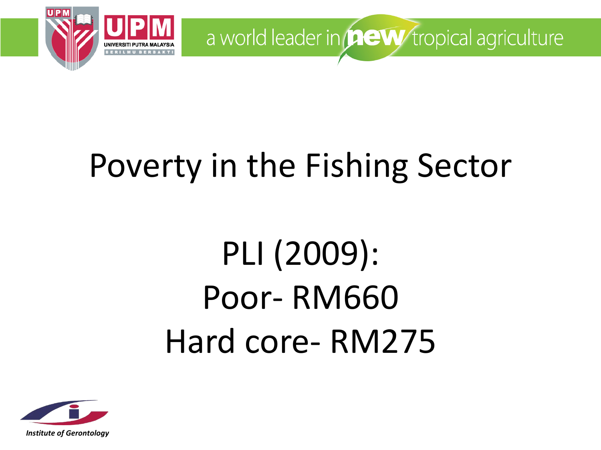

## Poverty in the Fishing Sector

# PLI (2009): Poor- RM660 Hard core- RM275

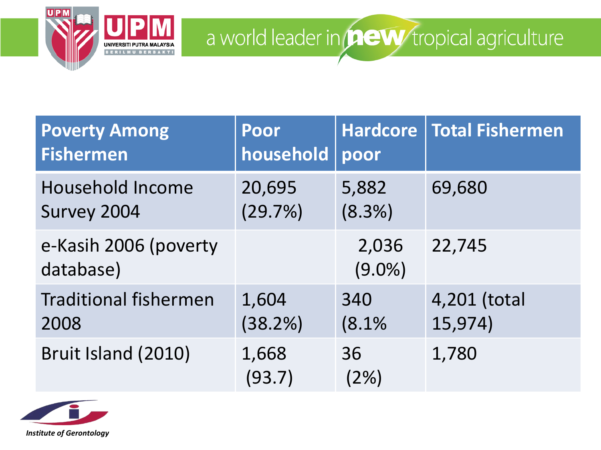

| <b>Poverty Among</b><br><b>Fishermen</b> | Poor<br>household | poor               | Hardcore   Total Fishermen |
|------------------------------------------|-------------------|--------------------|----------------------------|
| <b>Household Income</b><br>Survey 2004   | 20,695<br>(29.7%) | 5,882<br>$(8.3\%)$ | 69,680                     |
| e-Kasih 2006 (poverty<br>database)       |                   | 2,036<br>$(9.0\%)$ | 22,745                     |
| <b>Traditional fishermen</b><br>2008     | 1,604<br>(38.2%)  | 340<br>(8.1%       | 4,201 (total<br>15,974)    |
| Bruit Island (2010)                      | 1,668<br>(93.7)   | 36<br>(2%)         | 1,780                      |

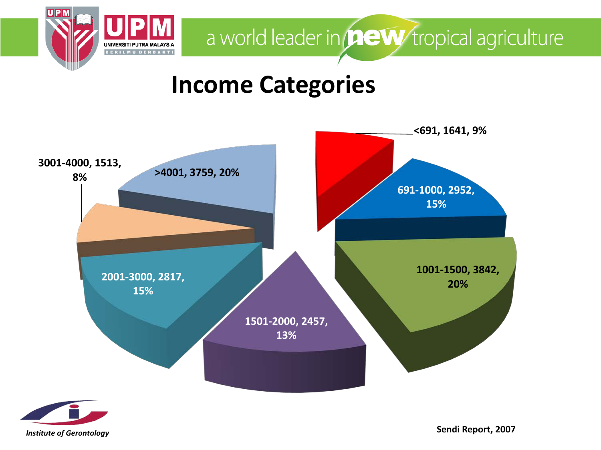

#### **Income Categories**





**Sendi Report, 2007**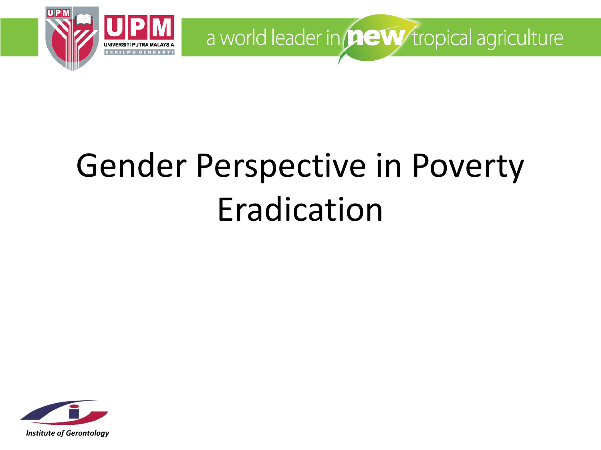

## Gender Perspective in Poverty Eradication

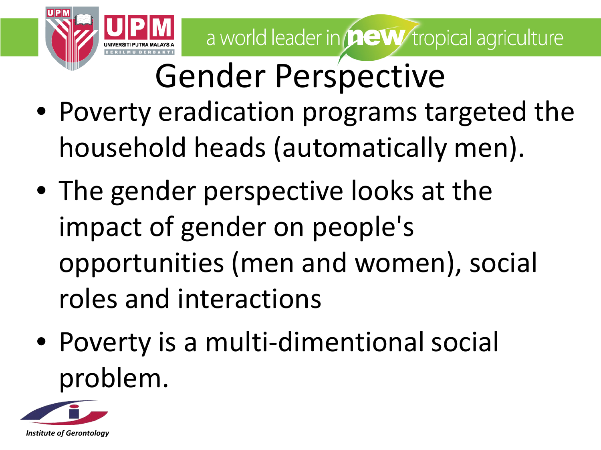

## Gender Perspective

- Poverty eradication programs targeted the household heads (automatically men).
- The gender perspective looks at the impact of gender on people's opportunities (men and women), social roles and interactions
- Poverty is a multi-dimentional social problem.

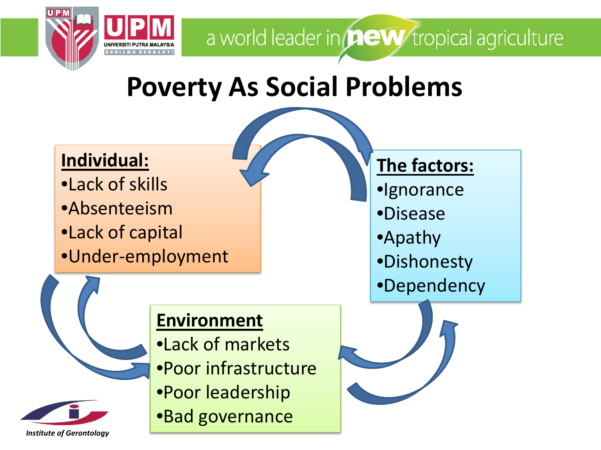

### **Poverty As Social Problems**



#### **Environment**

- *Institute of Gerontology*
- •Lack of markets •Poor infrastructure •Poor leadership •Bad governance

#### **The factors:**

- •Ignorance
- •Disease
- •Apathy
- •Dishonesty
- •Dependency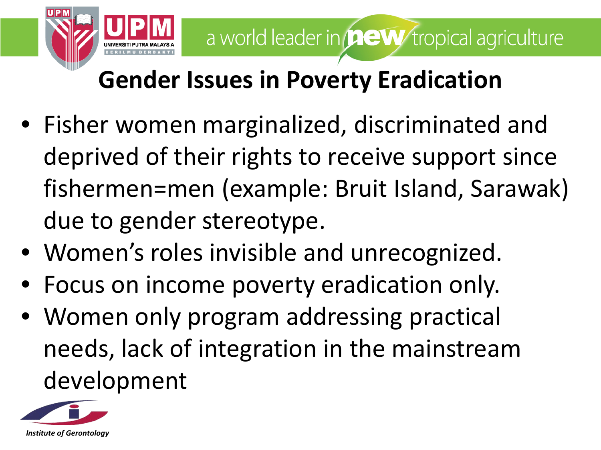

#### **Gender Issues in Poverty Eradication**

- Fisher women marginalized, discriminated and deprived of their rights to receive support since fishermen=men (example: Bruit Island, Sarawak) due to gender stereotype.
- Women's roles invisible and unrecognized.
- Focus on income poverty eradication only.
- Women only program addressing practical needs, lack of integration in the mainstream development

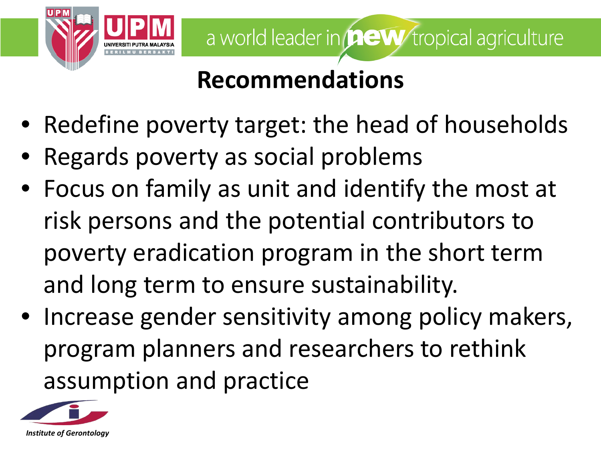

#### **Recommendations**

- Redefine poverty target: the head of households
- Regards poverty as social problems
- Focus on family as unit and identify the most at risk persons and the potential contributors to poverty eradication program in the short term and long term to ensure sustainability.
- Increase gender sensitivity among policy makers, program planners and researchers to rethink assumption and practice

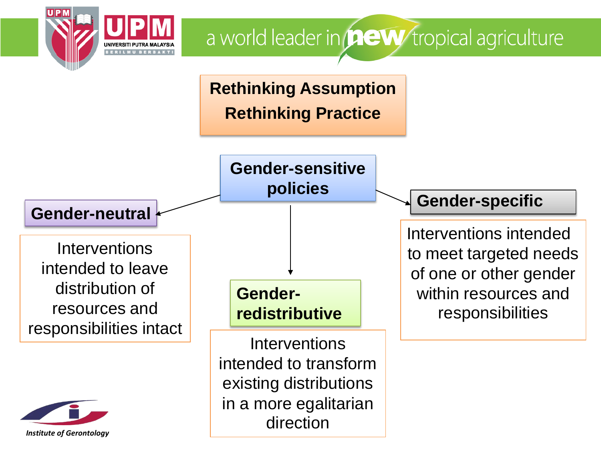

**Rethinking Assumption Rethinking Practice**

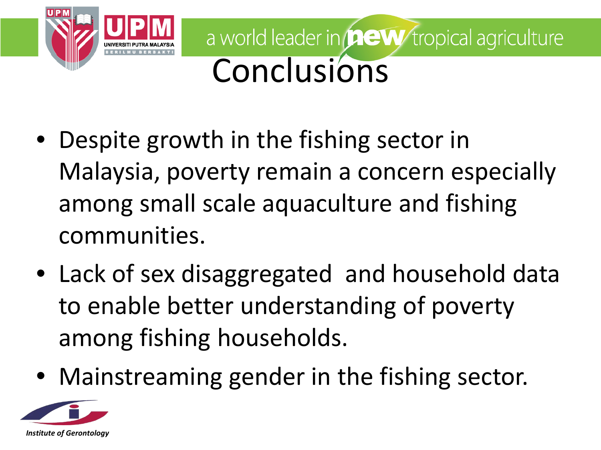![](_page_27_Picture_0.jpeg)

- Despite growth in the fishing sector in Malaysia, poverty remain a concern especially among small scale aquaculture and fishing communities.
- Lack of sex disaggregated and household data to enable better understanding of poverty among fishing households.
- Mainstreaming gender in the fishing sector.

![](_page_27_Picture_5.jpeg)